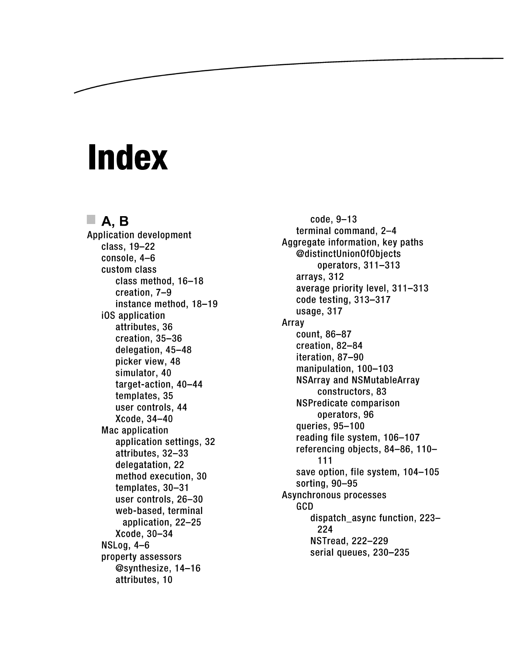# **Index Index**

#### **• A, B • A,B**

,---------

 $\overline{\phantom{0}}$ 

Application development Application development class, 19-22 class, 19-22 console, 4-6 console, 4-6 custom class class method, 16-18 custom class class method, 16-18 creation, 7-9 creation, 7-9 instance method, 18-19 instance method, 18-19 iOS application attributes, 36 iOS application attributes, 36 creation, 35-36 creation, 35-36 delegation, 45-48 delegation, 45-48 picker view, 48 picker view, 48 simulator, 40 simulator, 40 target-action, 40-44 target-action, 40-44 templates, 35 templates, 35 user controls, 44 user controls, 44 Xcode, 34-40 Xcode, 34-40 Mac application application settings, 32 Mac application application settings, 32 attributes, 32-33 attributes, 32-33 delegatation, 22 delegatation, 22 method execution, 30 method execution, 30 templates, 30-31 templates, 30-31 user controls, 26-30 user controls, 26-30 web-based, terminal web-based, terminal application, 22-25 application, 22-25 Xcode, 30-34 Xcode, 30-34 NSLog, 4-6 NSLog, 4-6 property assessors property assessors @synthesize, 14-16 @synthesize, 14-16 attributes, 10

code, 9-13 terminal command, 2-4 Aggregate information, key paths @distinctUnionOfObjects @distinctUnionOfObjects operators, 311-313 operators, 311-313 arrays, 312 arrays, 312 average priority level, 311-313 average priority level, 311-313 code testing, 313-317 code testing, 313-317 usage, 317 Array count, 86-87 usage, 317 Array count, 86-87 creation, 82-84 creation, 82-84 iteration, 87-90 iteration, 87-90 manipulation, 100-103 manipulation, 100-103 NSArray and NSMutableArray NSArray and NSMutableArray constructors, 83 constructors, 83 NSPredicate comparison NSPredicate comparison operators, 96 operators, 96 queries, 95-100 queries, 95-100 reading file system, 106-107 reading file system, 106-107 referencing objects, 84-86, 110- referencing objects, 84-86, 110-111 111 save option, file system, 104-105 save option, file system, 104-105 sorting, 90-95 sorting, 90-95 Asynchronous processes Asynchronous processes GCD GCD dispatch\_async function, 223- dispatch\_async function, 223-224 224 NSTread, 222-229 NSTread, 222-229 serial queues, 230-235 serial queues, 230-235 **B**<br> **attributes** the section of the 18<br>
ss, 19–22<br>
ss, 19–22<br>
ss, 19–22<br>
and the distribution of Objects<br>
clear of the distribution of Objects<br>
clear of the distribution of the section of the section of the section of th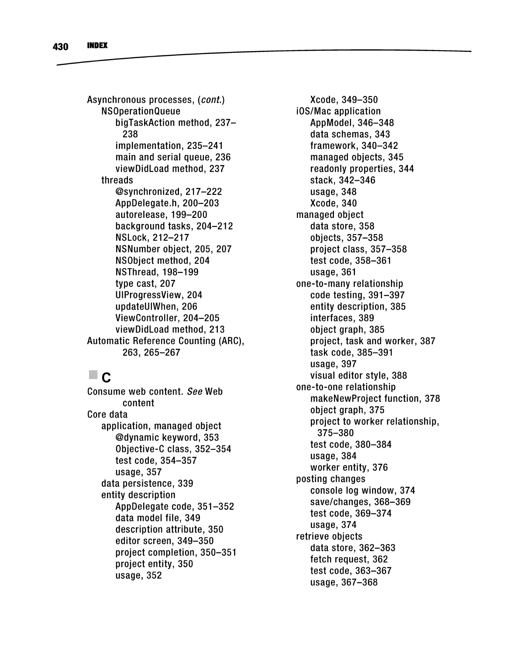Asynchronous processes, *(cont.)*  Asynchronous processes, (cont.) NSOperationQueue NSOperationQueue bigTaskAction method, 237- 238 implementation, 235-241 main and serial queue, 236 viewDidLoad method, 237 threads @synchronized, 217-222 AppDelegate.h, 200-203 autorelease, 199-200 background tasks, 204-212 NSLock,212-217 NSNumber object, 205, 207 NSObject method, 204 NSThread, 198-199 type cast, 207 UIProgressView, 204 updateUIWhen, 206 ViewController, 204-205 viewDidLoad method, 213 Automatic Reference Counting (ARC), 263, 265-267 bigTaskAction method, 237–<br>238<br>implementation, 235–241<br>main and serial queue, 236<br>viewDidLoad method, 237<br>threads<br>@synchronized, 217–222<br>AppDelegate.h, 200–203<br>autorelease, 199–200<br>background tasks, 204–212<br>NSLock, 212–217

## **·c · c**

Consume web content. *See* Web content Core data application, managed object @dynamic keyword, 353 Objective-C class, 352-354 test code, 354-357 usage, 357 data persistence, 339 entity description AppDelegate code, 351-352 data model file, 349 description attribute, 350 editor screen, 349-350 project completion, 350-351 project entity, 350 usage, 352 Consume web content. *See* Web<br>
content<br>
Core data<br>
application, managed object<br>
@dynamic keyword, 353<br>
Objective-C class, 352–354<br>
test code, 354–357<br>
usage, 357<br>
data persistence, 339<br>
entity description<br>
AppDelegate cod

Xcode, 349-350 i0S/Mac application AppModel, 346-348 data schemas, 343 framework, 340-342 managed objects, 345 readonly properties, 344 stack, 342-346 usage, 348 Xcode, 340 managed object data store, 358 objects, 357-358 project class, 357-358 test code, 358-361 usage, 361 one-to-many relationship code testing, 391-397 entity description, 385 interfaces, 389 object graph, 385 project, task and worker, 387 task code, 385-391 usage, 397 visual editor style, 388 one-to-one relationship makeNewProject function, 378 object graph, 375 project to worker relationship, 375-380 test code, 380-384 usage, 384 worker entity, 376 posting changes console log window, 374 save/changes, 368-369 test code, 369-374 usage, 374 retrieve objects data store, 362-363 fetch request, 362 test code, 363-367 test code, 363-367 usage, 367-368 usage, 367-368 Trouvis processes, (cont.)<br>
In School, 349–350<br>
Diperation method, 237–<br>
208 Apploation method, 237–<br>
208 Apploation method, 237–<br>
208 Appleads schemas, 343<br>
238 Appleads schemas, 343<br>
238 Appleads schemas, 343<br>
238 Apple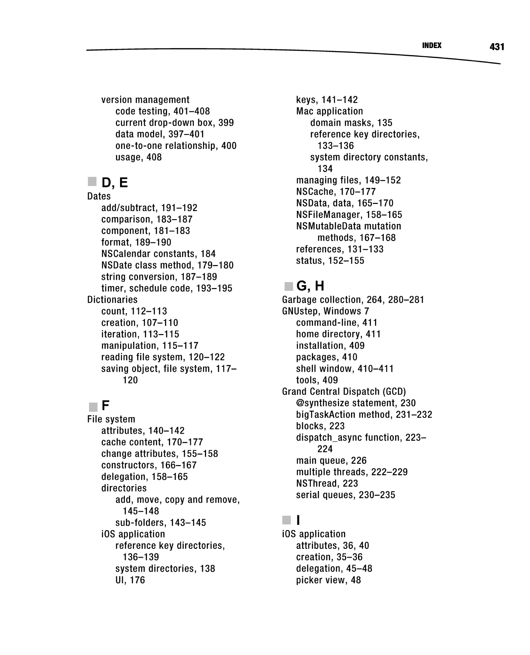version management code testing, 401-408 current drop-down box, 399 data model, 397-401 one-to-one relationship, 400 usage, 408 version management<br>code testing, 401–408<br>current drop-down box, 399<br>data model, 397–401<br>one-to-one relationship, 400<br>usage, 408

#### **• D, E . 0, E**

Dates add/subtract, 191-192 comparison, 183-187 component, 181-183 format, 189-190 NSCalendar constants, 184 NSDate class method, 179-180 string conversion, 187-189 timer, schedule code, 193-195 Dictionaries count, 112-113 creation, 107-110 iteration, 113-115 manipulation, 115-117 reading file system, 120-122 saving object, file system, 117- 120 Dates<br>
add/subtract, 191–192<br>
comparison, 183–187<br>
component, 181–183<br>
format, 189–190<br>
NSCalendar constants, 184<br>
NSDate class method, 179–180<br>
string conversion, 187–189<br>
timer, schedule code, 193–195<br>
Dictionaries<br>
coun

### **.F . F**

File system attributes, 140-142 cache content, 170-177 change attributes, 155-158 constructors, 166-167 delegation, 158-165 directories add, move, copy and remove, 145-148 sub-folders, 143-145 iOS application reference key directories, 136-139 system directories, 138 UI,176

keys, 141-142 Mac application domain masks, 135 reference key directories, 133-136 system directory constants, 134 managing files, 149-152 NSCache, 170-177 NSData, data, 165-170 NSFileManager, 158-165 NSMutableData mutation methods, 167-168 references, 131-133 status, 152-155 system directory constants,<br>
134<br>managing files, 149–152<br>NSCache, 170–177<br>NSData, data, 165–170<br>NSFileManager, 158–165<br>NSMutableData mutation<br>methods, 167–168<br>references, 131–133<br>status, 152–155

#### **.G, H . G, H**

Garbage collection, 264, 280-281 GNUstep, Windows 7 command-line, 411 home directory, 411 installation, 409 packages, 410 shell window, 410-411 tools, 409 Grand Central Dispatch (GCD) @synthesize statement, 230 bigTaskAction method, 231-232 blocks, 223 dispatch\_async function, 223- 224 main queue, 226 multiple threads, 222-229 NSThread, 223 serial queues, 230-235 Mericion management<br>
code testing, 401-408<br>
code testing, 401-408<br>
correlation current dro-domin bases, 141-142<br>
code testing, 401-408<br>
data model, 397-401<br>
data model, 397-401<br>
des models (and the stations) of the smal Garbage collection, 264, 280–281<br>GNUstep, Windows 7<br>command-line, 411<br>home directory, 411<br>installation, 409<br>packages, 410<br>shell window, 410–411<br>tools, 409<br>Grand Central Dispatch (GCD)<br>@synthesize statement, 230<br>bigTaskActi

### **.1 . 1**

iOS application attributes, 36, 40 creation, 35-36 delegation, 45-48 picker view, 48 iOS application attributes, 36, 40 creation, 35-36 delegation, 45-48 picker view, 48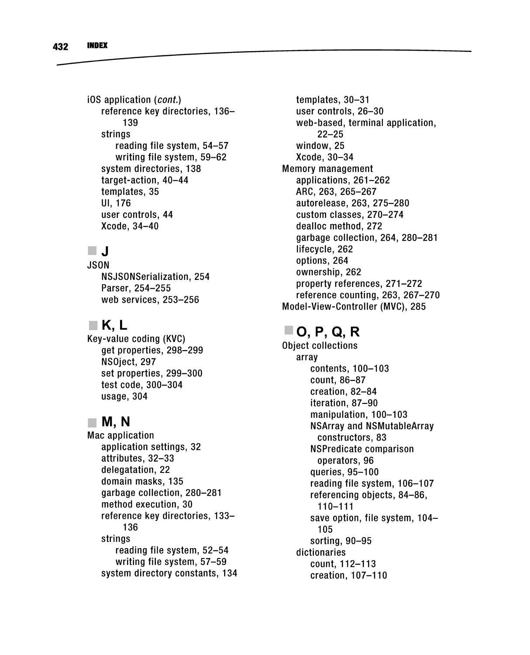iOS application *(cont.)*  iOS application (cant.) reference key directories, 136- reference key directories, 136-139 139 strings reading file system, 54-57 strings reading file system, 54-57 writing file system, 59-62 writing file system, 59-62 system directories, 138 system directories, 138 target-action, 40-44 target-action, 40-44 templates, 35 templates, 35 UI,176 UI, 176<br>user controls, 44 Xcode, 34-40 Xcode, 34-40

## **.J . J**

JSON NSJSONSerialization, 254 JSON NSJSONSerialization, 254 Parser, 254-255 Parser, 254-255 web services, 253-256 web services, 253-256

#### **• K, L . K, L**

Key-value coding (KVC) get properties, 298-299 Key-value coding (KVC) get properties, 298-299 NSOject, 297 NSOject, 297 set properties, 299-300 set properties, 299-300 test code, 300-304 test code, 300-304 usage, 304 usage, 304

#### **• M, N • M, N**

Mac application application settings, 32 Mac application application settings, 32 attributes, 32-33 attributes, 32-33 delegatation, 22 delegatation, 22 domain masks, 135 domain masks, 135 garbage collection, 280-281 garbage collection, 280-281 method execution, 30 method execution, 30 reference key directories, 133- reference key directories, 133-136 136 strings reading file system, 52-54 strings reading file system, 52-54 writing file system, 57-59 writing file system, 57-59 system directory constants, 134

templates, 30-31 user controls, 26-30 web-based, terminal application, 22-25 window, 25 Xcode, 30-34 Memory management applications, 261-262 ARC, 263, 265-267 autorelease, 263, 275-280 custom classes, 270-274 dealloc method, 272 garbage collection, 264, 280-281 lifecycle, 262 options, 264 ownership, 262 property references, 271-272 reference counting, 263, 267-270 Model-View-Controller (MVC), 285

#### **.0, P, Q, R**

Object collections array Object collections<br>array<br>contents, 100–103 count, 86-87 count, 86-87 creation, 82-84 creation, 82-84 iteration, 87-90 iteration, 87-90 manipulation, 100-103 manipulation, 100-103 NSArray and NSMutableArray NSArray and NSMutableArray constructors, 83 constructors, 83 NSPredicate comparison NSPredicate comparison operators, 96 operators, 96 queries, 95-100 queries, 95-100 reading file system, 106-107 reading file system, 106-107 referencing objects, 84-86, referencing objects, 84-86, 110-111 110-111 save option, file system, 104- save option, file system, 104-105 105 sorting, 90-95 sorting, 90-95 dictionaries count, 112-113 dictionaries count, 112-113 creation, 107-110 creation, 107-110 application (cont)<br>
reference key directories, 136-<br>
tereference key directories, 136-<br>
tereference key directories, 136-<br>
tereference key directories, 136-<br>
withing file system, 54-57<br>
withing file system, 54-57<br>
withing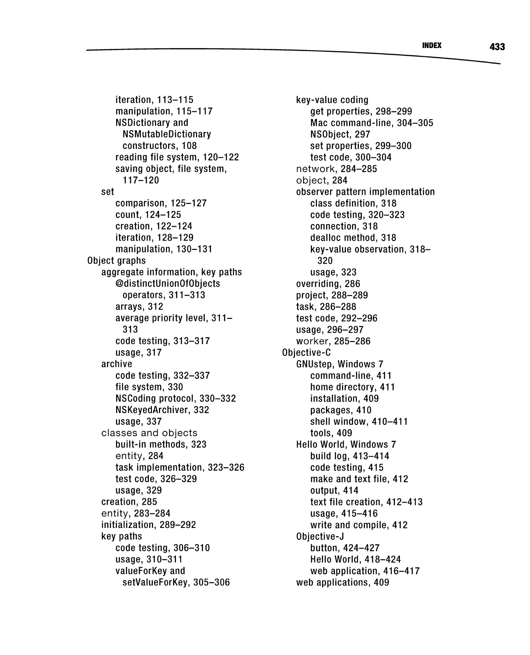set iteration, 113-115 manipulation, 115-117 NSDictionary and NSMutableDictionary constructors, 108 reading file system, 120-122 saving object, file system, 117-120 comparison, 125-127 comparison, 125-127 count, 124-125 count, 124-125 creation, 122-124 creation, 122-124 iteration, 128-129 iteration, 128-129 manipulation, 130-131 manipulation, 130-131 Object graphs aggregate information, key paths @distinctUnionOfObjects operators, 311-313 arrays, 312 arrays, 312 average priority level, 311- average priority level, 311-313 313 code testing, 313-317 code testing, 313-317 usage, 317 usage, 317 archive code testing, 332-337 archive code testing, 332-337 file system, 330 file system, 330 NSCoding protocol, 330-332 NSCoding protocol, 330-332 NSKeyedArchiver, 332 NSKeyedArchiver, 332 usage, 337 classes and objects usage, 337 classes and objects built-in methods, 323 built-in methods, 323 entity, 284 entity, 284 task implementation, 323-326 task implementation, 323-326 test code, 326-329 test code, 326-329 usage, 329 usage, 329 creation, 285 <mark>creation, 285</mark><br>entity, **283–284** initialization, 289-292 initialization, 289-292 key paths code testing, 306-310 key paths code testing, 306-310 usage, 310-311 usage, 310-311 valueForKey and setValueForKey, 305-306 iteration, 113–115<br>manipulation, 115–117<br>NSDictionary and<br>NSMutableDictionary<br>constructors, 108<br>reading file system, 120–122<br>saving object, file system,<br>117–120<br>set Object graphs aggregate information, key paths @distinctUnionOfObjects operators, 311-313

key-value coding get properties, 298-299 Mac command-line, 304-305 NSObject, 297 set properties, 299-300 test code, 300-304 network, 284-285 object, 284 observer pattern implementation class definition, 318 code testing, 320-323 connection, 318 dealloc method, 318 key-value observation, 318- 320 usage, 323 overriding, 286 project, 288-289 task, 286-288 test code, 292-296 usage, 296-297 worker, 285-286 Objective-C GNUstep, Windows 7 command-line, 411 home directory, 411 installation, 409 packages, 410 shell window, 410-411 tools, 409 Hello World, Windows 7 build log, 413-414 code testing, 415 make and text file, 412 output, 414 text file creation, 412-413 usage, 415-416 write and compile, 412 Objective-J button, 424-427 Hello World, 418-424 web application, 416-417 web applications, 409 iteration, 113–115<br>
Maximum (113–115<br>
manipulation, 115–117<br>
manipulation, 115–117<br>
Maximum and Maximum and Maximum and Maximum and<br>
KSMutable<br>
Electronery of the system of the system of the system of the<br>
constructors, 1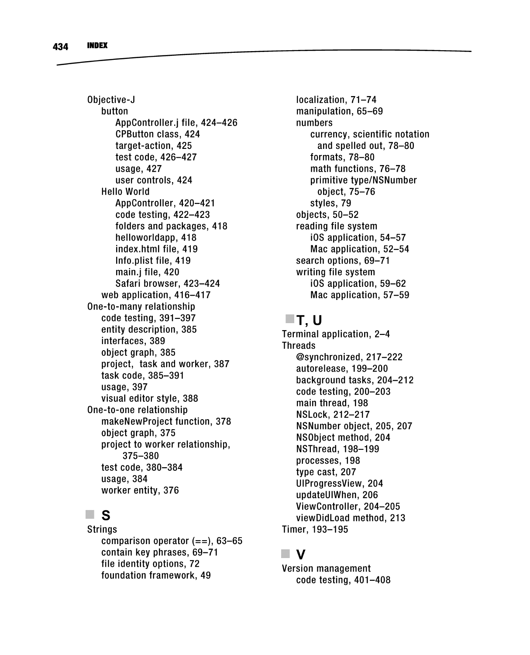Objective-J button AppController.j file, 424-426 CPButton class, 424 target-action, 425 test code, 426-427 usage, 427 user controls, 424 Hello World AppController, 420-421 code testing, 422-423 folders and packages, 418 helloworldapp, 418 index.html file, 419 Info.plist file, 419 main.j file, 420 Safari browser, 423-424 web application, 416-417 One-to-many relationship code testing, 391-397 entity description, 385 interfaces, 389 object graph, 385 project, task and worker, 387 task code, 385-391 usage, 397 visual editor style, 388 One-to-one relationship makeNewProject function, 378 object graph, 375 project to worker relationship, 375-380 test code, 380-384 usage, 384 worker entity, 376 Objective-J<br>
button<br>
AppController.j file, 424–426<br>
CPButton class, 424<br>
target-action, 425<br>
test code, 426–427<br>
usage, 427<br>
user controls, 424<br>
Hello World<br>
AppController, 420–421<br>
code testing, 422–423<br>
folders and packa Dipective-J<br>
button<br>
AppController, file, 424-426<br>
analytolation, 65-69<br>
AppController, file, 424-426<br>
CPButton class, 424<br>
correction, 425<br>
case, 426-427<br>
user controls, 424<br>
user controls, 424<br>
and spelled out, 79-78<br>
e

## **-s - s**

**Strings** comparison operator  $(==)$ , 63–65 contain key phrases, 69-71 file identity options, 72 foundation framework, 49

localization, 71-74 manipulation, 65-69 numbers currency, scientific notation and spelled out, 78-80 formats, 78-80 math functions, 76-78 primitive type/NSNumber object, 75-76 styles, 79 objects, 50-52 reading file system iOS application, 54-57 Mac application, 52-54 search options, 69-71 writing file system iOS application, 59-62 Mac application, 57-59

#### **-T, U**

Terminal application, 2-4 Threads @synchronized, 217-222 autorelease, 199-200 background tasks, 204-212 code testing, 200-203 main thread, 198 NSLock,212-217 NSNumber object, 205, 207 NSObject method, 204 NSThread, 198-199 processes, 198 type cast, 207 UIProgressView, 204 updateUIWhen, 206 ViewController, 204-205 viewDidLoad method, 213 Timer, 193-195

#### **-v**

Version management code testing, 401-408